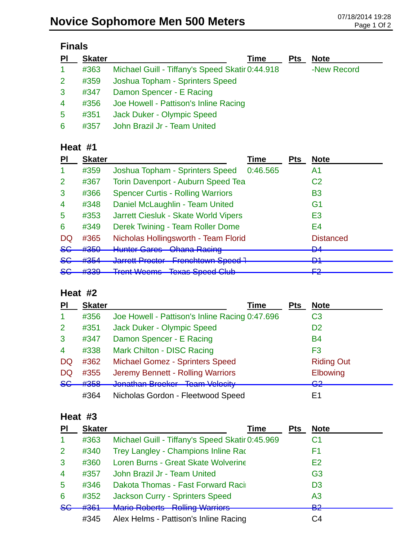| <b>PI</b>       | <b>Skater</b> | Time                                            | <b>Pts</b> | <b>Note</b> |
|-----------------|---------------|-------------------------------------------------|------------|-------------|
| $\mathbf{1}$    | #363          | Michael Guill - Tiffany's Speed Skatir 0:44.918 |            | -New Record |
| 2 <sup>1</sup>  | #359          | Joshua Topham - Sprinters Speed                 |            |             |
| 3               | #347          | Damon Spencer - E Racing                        |            |             |
| $\overline{4}$  | #356          | Joe Howell - Pattison's Inline Racing           |            |             |
| $5\phantom{.0}$ | #351          | <b>Jack Duker - Olympic Speed</b>               |            |             |
| 6               | #357          | John Brazil Jr - Team United                    |            |             |

## **Heat #1**

| PI              | <b>Skater</b>                |                                                                                                    | Time     | <b>Pts</b> | <b>Note</b>      |
|-----------------|------------------------------|----------------------------------------------------------------------------------------------------|----------|------------|------------------|
|                 | #359                         | Joshua Topham - Sprinters Speed                                                                    | 0:46.565 |            | A1               |
| 2               | #367                         | <b>Torin Davenport - Auburn Speed Tea</b>                                                          |          |            | C <sub>2</sub>   |
| 3               | #366                         | <b>Spencer Curtis - Rolling Warriors</b>                                                           |          |            | B3               |
| $\overline{4}$  | #348                         | Daniel McLaughlin - Team United                                                                    |          |            | G <sub>1</sub>   |
| 5               | #353                         | Jarrett Ciesluk - Skate World Vipers                                                               |          |            | E3               |
| 6               | #349                         | Derek Twining - Team Roller Dome                                                                   |          |            | E4               |
| DQ              | #365                         | Nicholas Hollingsworth - Team Florid                                                               |          |            | <b>Distanced</b> |
| <del>SG</del>   | #350                         | <b>Hunter Gares - Ohana Raeing</b>                                                                 |          |            | D.A<br>▱         |
| $86$            | $H$ 25 $\Lambda$<br>11 J J H | <u> Iarratt Dractar - Eranchtown Spaad 7</u><br><u>F IUNUNUWII Upuu i</u><br><del>vanou room</del> |          |            | D1<br>▱          |
| <u>ے۔</u><br>ᢦᢦ | 4000<br>ᡣ᠊ᠣᠥᠣ                | <b>Trent Weems Texas Speed Club</b>                                                                |          |            | ⊏ว<br>ГС         |

## **Heat #2**

| PI                       | <b>Skater</b> | Time                                           | <b>Pts</b> | <b>Note</b>                    |
|--------------------------|---------------|------------------------------------------------|------------|--------------------------------|
| $\blacktriangleleft$     | #356          | Joe Howell - Pattison's Inline Racing 0:47.696 |            | C3                             |
| 2                        | #351          | Jack Duker - Olympic Speed                     |            | D <sub>2</sub>                 |
| 3                        | #347          | Damon Spencer - E Racing                       |            | <b>B4</b>                      |
| $\overline{\mathcal{A}}$ | #338          | Mark Chilton - DISC Racing                     |            | F <sub>3</sub>                 |
| <b>DQ</b>                | #362          | <b>Michael Gomez - Sprinters Speed</b>         |            | <b>Riding Out</b>              |
| <b>DQ</b>                | #355          | Jeremy Bennett - Rolling Warriors              |            | Elbowing                       |
| 86                       | #358          | Jonathan Brocker Team Velocity                 |            | ലാ<br>$\overline{\phantom{a}}$ |
|                          | #364          | Nicholas Gordon - Fleetwood Speed              |            | F1                             |

#### **Heat #3**

| PI             | <b>Skater</b> | Time                                            | Pts | <b>Note</b>    |
|----------------|---------------|-------------------------------------------------|-----|----------------|
| -1             | #363          | Michael Guill - Tiffany's Speed Skatir 0:45.969 |     | C1             |
| 2              | #340          | Trey Langley - Champions Inline Rac             |     | F1             |
| $\mathbf{3}$   | #360          | Loren Burns - Great Skate Wolverine             |     | E2             |
| $\overline{4}$ | #357          | John Brazil Jr - Team United                    |     | G <sub>3</sub> |
| 5              | #346          | Dakota Thomas - Fast Forward Raci               |     | D <sub>3</sub> |
| 6              | #352          | <b>Jackson Curry - Sprinters Speed</b>          |     | A <sub>3</sub> |
| 8 <sub>G</sub> | #361          | Mario Poborte - Polling Warriore                |     | בים<br>ers     |
|                | #345          | Alex Helms - Pattison's Inline Racing           |     | C4             |